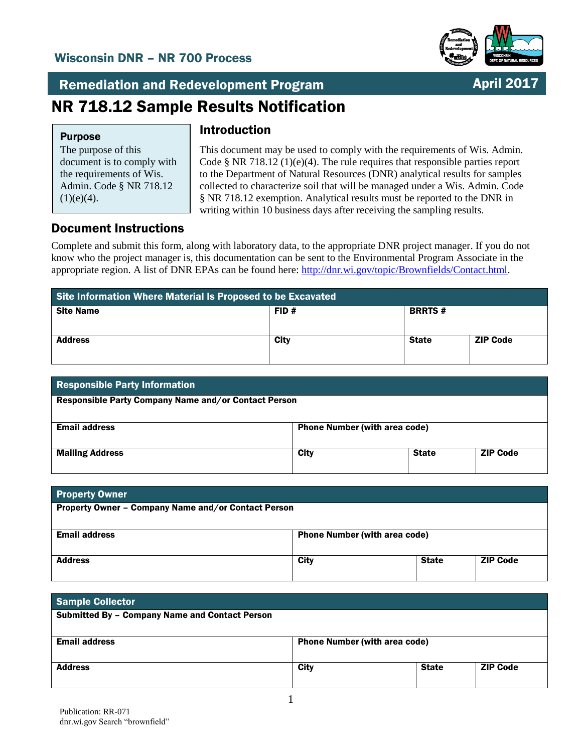## Wisconsin DNR – NR 700 Process



April 2017

Remediation and Redevelopment Program

# NR 718.12 Sample Results Notification

#### Purpose

The purpose of this document is to comply with the requirements of Wis. Admin. Code § NR 718.12  $(1)(e)(4)$ .

## Introduction

This document may be used to comply with the requirements of Wis. Admin. Code § NR 718.12 (1)(e)(4). The rule requires that responsible parties report to the Department of Natural Resources (DNR) analytical results for samples collected to characterize soil that will be managed under a Wis. Admin. Code § NR 718.12 exemption. Analytical results must be reported to the DNR in writing within 10 business days after receiving the sampling results.

### Document Instructions

Complete and submit this form, along with laboratory data, to the appropriate DNR project manager. If you do not know who the project manager is, this documentation can be sent to the Environmental Program Associate in the appropriate region. A list of DNR EPAs can be found here: [http://dnr.wi.gov/topic/Brownfields/Contact.html.](http://dnr.wi.gov/topic/Brownfields/Contact.html)

| Site Information Where Material Is Proposed to be Excavated |      |               |                 |  |  |
|-------------------------------------------------------------|------|---------------|-----------------|--|--|
| <b>Site Name</b>                                            | FID# | <b>BRRTS#</b> |                 |  |  |
| <b>Address</b>                                              | City | <b>State</b>  | <b>ZIP Code</b> |  |  |

| <b>Responsible Party Information</b>                 |                                      |              |                 |  |  |
|------------------------------------------------------|--------------------------------------|--------------|-----------------|--|--|
| Responsible Party Company Name and/or Contact Person |                                      |              |                 |  |  |
| <b>Email address</b>                                 | <b>Phone Number (with area code)</b> |              |                 |  |  |
| <b>Mailing Address</b>                               | City                                 | <b>State</b> | <b>ZIP Code</b> |  |  |

| <b>Property Owner</b>                               |                                      |              |                 |
|-----------------------------------------------------|--------------------------------------|--------------|-----------------|
| Property Owner - Company Name and/or Contact Person |                                      |              |                 |
| <b>Email address</b>                                | <b>Phone Number (with area code)</b> |              |                 |
| <b>Address</b>                                      | City                                 | <b>State</b> | <b>ZIP Code</b> |

| <b>Sample Collector</b>                               |                                      |              |                 |
|-------------------------------------------------------|--------------------------------------|--------------|-----------------|
| <b>Submitted By - Company Name and Contact Person</b> |                                      |              |                 |
|                                                       |                                      |              |                 |
| <b>Email address</b>                                  | <b>Phone Number (with area code)</b> |              |                 |
|                                                       |                                      |              |                 |
| <b>Address</b>                                        | <b>City</b>                          | <b>State</b> | <b>ZIP Code</b> |
|                                                       |                                      |              |                 |